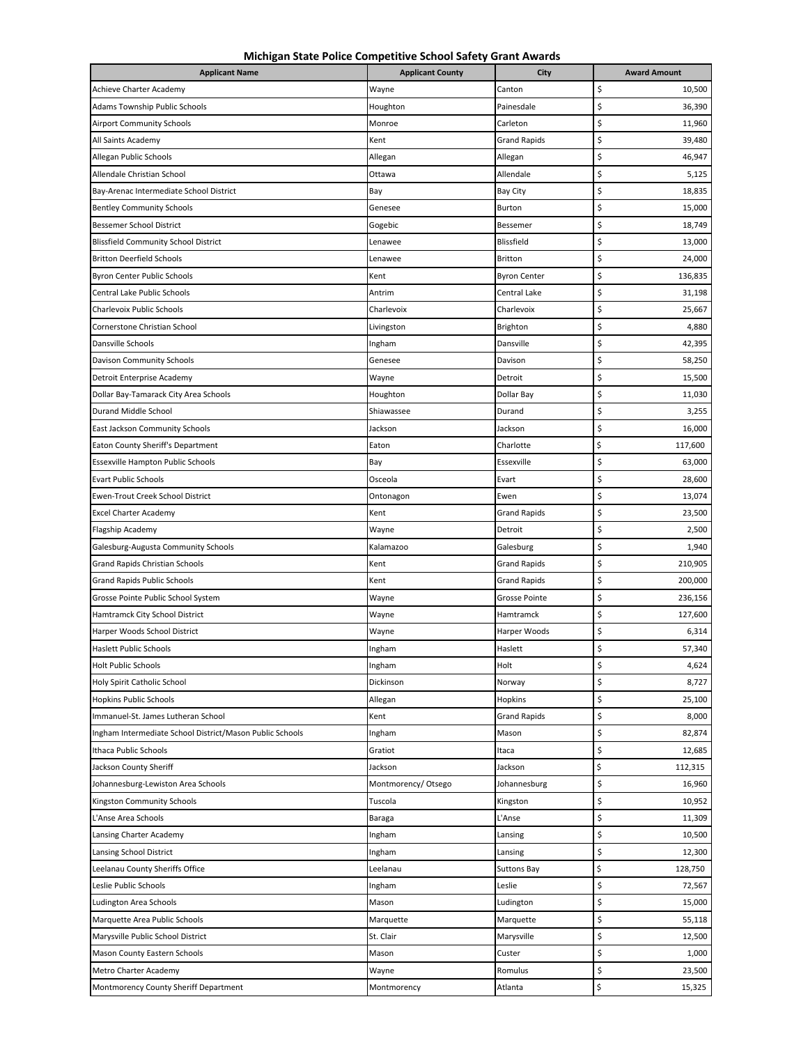**Michigan State Police Competitive School Safety Grant Awards**

| <b>Applicant Name</b>                                    | <b>Applicant County</b> | City                 | <b>Award Amount</b> |
|----------------------------------------------------------|-------------------------|----------------------|---------------------|
| Achieve Charter Academy                                  | Wayne                   | Canton               | \$<br>10,500        |
| Adams Township Public Schools                            | Houghton                | Painesdale           | \$<br>36,390        |
| <b>Airport Community Schools</b>                         | Monroe                  | Carleton             | \$<br>11,960        |
| All Saints Academy                                       | Kent                    | <b>Grand Rapids</b>  | \$<br>39,480        |
| Allegan Public Schools                                   | Allegan                 | Allegan              | \$<br>46,947        |
| Allendale Christian School                               | Ottawa                  | Allendale            | \$<br>5,125         |
| Bay-Arenac Intermediate School District                  | Bay                     | Bay City             | \$<br>18,835        |
| <b>Bentley Community Schools</b>                         | Genesee                 | Burton               | \$<br>15,000        |
| <b>Bessemer School District</b>                          | Gogebic                 | Bessemer             | \$<br>18,749        |
| <b>Blissfield Community School District</b>              | Lenawee                 | Blissfield           | \$<br>13,000        |
| <b>Britton Deerfield Schools</b>                         | Lenawee                 | <b>Britton</b>       | \$<br>24,000        |
| <b>Byron Center Public Schools</b>                       | Kent                    | Byron Center         | \$<br>136,835       |
| Central Lake Public Schools                              | Antrim                  | Central Lake         | \$<br>31,198        |
| Charlevoix Public Schools                                | Charlevoix              | Charlevoix           | \$<br>25,667        |
| Cornerstone Christian School                             | Livingston              | Brighton             | \$<br>4,880         |
| Dansville Schools                                        | Ingham                  | Dansville            | \$<br>42,395        |
| Davison Community Schools                                | Genesee                 | Davison              | \$<br>58,250        |
| Detroit Enterprise Academy                               | Wayne                   | Detroit              | \$<br>15,500        |
| Dollar Bay-Tamarack City Area Schools                    | Houghton                | Dollar Bay           | \$<br>11,030        |
| Durand Middle School                                     | Shiawassee              | Durand               | \$<br>3,255         |
| East Jackson Community Schools                           | Jackson                 | Jackson              | \$<br>16,000        |
| Eaton County Sheriff's Department                        | Eaton                   | Charlotte            | \$<br>117,600       |
| Essexville Hampton Public Schools                        | Bay                     | Essexville           | \$<br>63,000        |
| <b>Evart Public Schools</b>                              | Osceola                 | Evart                | \$<br>28,600        |
| Ewen-Trout Creek School District                         | Ontonagon               | Ewen                 | \$<br>13,074        |
| <b>Excel Charter Academy</b>                             | Kent                    | <b>Grand Rapids</b>  | \$<br>23,500        |
| Flagship Academy                                         | Wayne                   | Detroit              | \$<br>2,500         |
| Galesburg-Augusta Community Schools                      | Kalamazoo               | Galesburg            | \$<br>1,940         |
| Grand Rapids Christian Schools                           | Kent                    | <b>Grand Rapids</b>  | \$<br>210,905       |
| <b>Grand Rapids Public Schools</b>                       | Kent                    | <b>Grand Rapids</b>  | \$<br>200,000       |
| Grosse Pointe Public School System                       | Wayne                   | <b>Grosse Pointe</b> | \$<br>236,156       |
| Hamtramck City School District                           | Wayne                   | Hamtramck            | \$<br>127,600       |
| Harper Woods School District                             | Wayne                   | Harper Woods         | \$<br>6,314         |
| <b>Haslett Public Schools</b>                            | Ingham                  | Haslett              | \$<br>57,340        |
| <b>Holt Public Schools</b>                               | Ingham                  | Holt                 | \$<br>4,624         |
| Holy Spirit Catholic School                              | Dickinson               | Norway               | \$<br>8,727         |
| <b>Hopkins Public Schools</b>                            | Allegan                 | Hopkins              | \$<br>25,100        |
| Immanuel-St. James Lutheran School                       | Kent                    | <b>Grand Rapids</b>  | \$<br>8,000         |
| Ingham Intermediate School District/Mason Public Schools | Ingham                  | Mason                | \$<br>82,874        |
| Ithaca Public Schools                                    | Gratiot                 | Itaca                | \$<br>12,685        |
| Jackson County Sheriff                                   | Jackson                 | Jackson              | \$<br>112,315       |
| Johannesburg-Lewiston Area Schools                       | Montmorency/Otsego      | Johannesburg         | \$<br>16,960        |
| Kingston Community Schools                               | Tuscola                 | Kingston             | \$<br>10,952        |
| L'Anse Area Schools                                      | Baraga                  | L'Anse               | \$<br>11,309        |
| Lansing Charter Academy                                  | Ingham                  | Lansing              | \$<br>10,500        |
| Lansing School District                                  | Ingham                  | Lansing              | \$<br>12,300        |
| Leelanau County Sheriffs Office                          | Leelanau                | <b>Suttons Bay</b>   | \$<br>128,750       |
| Leslie Public Schools                                    | Ingham                  | Leslie               | \$<br>72,567        |
| Ludington Area Schools                                   | Mason                   | Ludington            | \$<br>15,000        |
| Marquette Area Public Schools                            | Marquette               | Marquette            | \$<br>55,118        |
| Marysville Public School District                        | St. Clair               | Marysville           | \$<br>12,500        |
| Mason County Eastern Schools                             | Mason                   | Custer               | \$<br>1,000         |
| Metro Charter Academy                                    | Wayne                   | Romulus              | \$<br>23,500        |
| Montmorency County Sheriff Department                    | Montmorency             | Atlanta              | \$<br>15,325        |